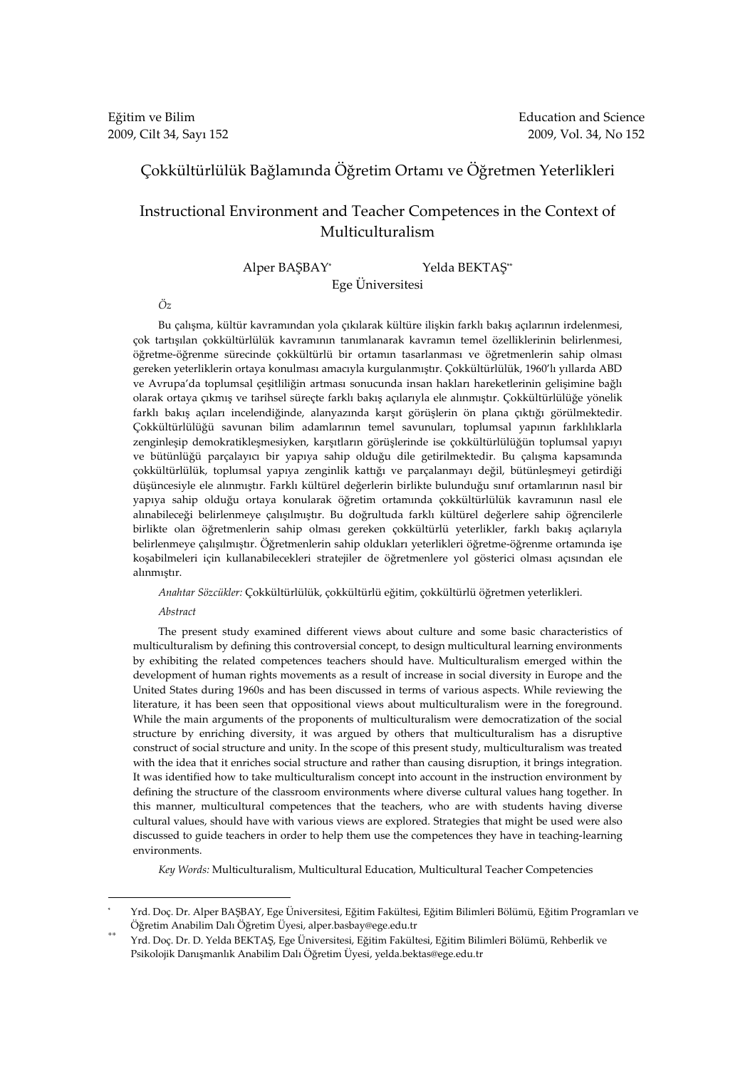# Çokkültürlülük Bağlamında Öğretim Ortamı ve Öğretmen Yeterlikleri

# Instructional Environment and Teacher Competences in the Context of Multiculturalism

Alper BAŞBAY\* Yelda BEKTAŞ\*\*

Ege Üniversitesi

Öz

Bu çalışma, kültür kavramından yola çıkılarak kültüre ilişkin farklı bakış açılarının irdelenmesi, çok tartışılan çokkültürlülük kavramının tanımlanarak kavramın temel özelliklerinin belirlenmesi, öğretme-öğrenme sürecinde çokkültürlü bir ortamın tasarlanması ve öğretmenlerin sahip olması gereken yeterliklerin ortaya konulması amacıyla kurgulanmıştır. Çokkültürlülük, 1960'lı yıllarda ABD ve Avrupa'da toplumsal çeşitliliğin artması sonucunda insan hakları hareketlerinin gelişimine bağlı olarak ortaya çıkmış ve tarihsel süreçte farklı bakış açılarıyla ele alınmıştır. Çokkültürlülüğe yönelik farklı bakış açıları incelendiğinde, alanyazında karşıt görüşlerin ön plana çıktığı görülmektedir. Çokkültürlülüğü savunan bilim adamlarının temel savunuları, toplumsal yapının farklılıklarla zenginleşip demokratikleşmesiyken, karşıtların görüşlerinde ise çokkültürlülüğün toplumsal yapıyı ve bütünlüğü parçalayıcı bir yapıya sahip olduğu dile getirilmektedir. Bu çalışma kapsamında çokkültürlülük, toplumsal yapıya zenginlik kattığı ve parçalanmayı değil, bütünleşmeyi getirdiği düşüncesiyle ele alınmıştır. Farklı kültürel değerlerin birlikte bulunduğu sınıf ortamlarının nasıl bir yapıya sahip olduğu ortaya konularak öğretim ortamında çokkültürlülük kavramının nasıl ele alınabileceği belirlenmeye çalışılmıştır. Bu doğrultuda farklı kültürel değerlere sahip öğrencilerle birlikte olan öğretmenlerin sahip olması gereken çokkültürlü yeterlikler, farklı bakış açılarıyla belirlenmeye çalışılmıştır. Öğretmenlerin sahip oldukları yeterlikleri öğretme-öğrenme ortamında işe koşabilmeleri için kullanabilecekleri stratejiler de öğretmenlere yol gösterici olması açısından ele alınmıştır.

Anahtar Sözcükler: Çokkültürlülük, çokkültürlü eğitim, çokkültürlü öğretmen yeterlikleri.

Abstract

 $\overline{a}$ 

The present study examined different views about culture and some basic characteristics of multiculturalism by defining this controversial concept, to design multicultural learning environments by exhibiting the related competences teachers should have. Multiculturalism emerged within the development of human rights movements as a result of increase in social diversity in Europe and the United States during 1960s and has been discussed in terms of various aspects. While reviewing the literature, it has been seen that oppositional views about multiculturalism were in the foreground. While the main arguments of the proponents of multiculturalism were democratization of the social structure by enriching diversity, it was argued by others that multiculturalism has a disruptive construct of social structure and unity. In the scope of this present study, multiculturalism was treated with the idea that it enriches social structure and rather than causing disruption, it brings integration. It was identified how to take multiculturalism concept into account in the instruction environment by defining the structure of the classroom environments where diverse cultural values hang together. In this manner, multicultural competences that the teachers, who are with students having diverse cultural values, should have with various views are explored. Strategies that might be used were also discussed to guide teachers in order to help them use the competences they have in teaching-learning environments.

Key Words: Multiculturalism, Multicultural Education, Multicultural Teacher Competencies

<sup>\*</sup> Yrd. Doç. Dr. Alper BAŞBAY, Ege Üniversitesi, Eğitim Fakültesi, Eğitim Bilimleri Bölümü, Eğitim Programları ve Öğretim Anabilim Dalı Öğretim Üyesi, alper.basbay@ege.edu.tr

<sup>\*\*</sup> Yrd. Doç. Dr. D. Yelda BEKTAŞ, Ege Üniversitesi, Eğitim Fakültesi, Eğitim Bilimleri Bölümü, Rehberlik ve Psikolojik Danışmanlık Anabilim Dalı Öğretim Üyesi, yelda.bektas@ege.edu.tr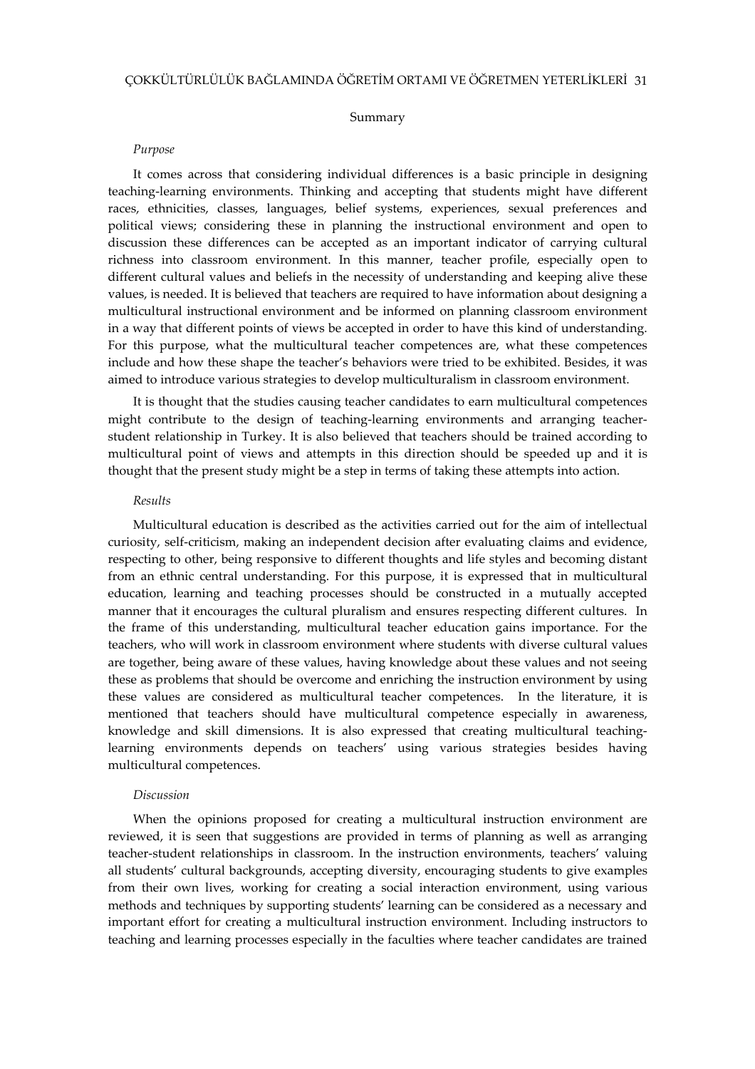#### Summary

#### Purpose

It comes across that considering individual differences is a basic principle in designing teaching-learning environments. Thinking and accepting that students might have different races, ethnicities, classes, languages, belief systems, experiences, sexual preferences and political views; considering these in planning the instructional environment and open to discussion these differences can be accepted as an important indicator of carrying cultural richness into classroom environment. In this manner, teacher profile, especially open to different cultural values and beliefs in the necessity of understanding and keeping alive these values, is needed. It is believed that teachers are required to have information about designing a multicultural instructional environment and be informed on planning classroom environment in a way that different points of views be accepted in order to have this kind of understanding. For this purpose, what the multicultural teacher competences are, what these competences include and how these shape the teacher's behaviors were tried to be exhibited. Besides, it was aimed to introduce various strategies to develop multiculturalism in classroom environment.

It is thought that the studies causing teacher candidates to earn multicultural competences might contribute to the design of teaching-learning environments and arranging teacherstudent relationship in Turkey. It is also believed that teachers should be trained according to multicultural point of views and attempts in this direction should be speeded up and it is thought that the present study might be a step in terms of taking these attempts into action.

#### Results

Multicultural education is described as the activities carried out for the aim of intellectual curiosity, self-criticism, making an independent decision after evaluating claims and evidence, respecting to other, being responsive to different thoughts and life styles and becoming distant from an ethnic central understanding. For this purpose, it is expressed that in multicultural education, learning and teaching processes should be constructed in a mutually accepted manner that it encourages the cultural pluralism and ensures respecting different cultures. In the frame of this understanding, multicultural teacher education gains importance. For the teachers, who will work in classroom environment where students with diverse cultural values are together, being aware of these values, having knowledge about these values and not seeing these as problems that should be overcome and enriching the instruction environment by using these values are considered as multicultural teacher competences. In the literature, it is mentioned that teachers should have multicultural competence especially in awareness, knowledge and skill dimensions. It is also expressed that creating multicultural teachinglearning environments depends on teachers' using various strategies besides having multicultural competences.

#### Discussion

When the opinions proposed for creating a multicultural instruction environment are reviewed, it is seen that suggestions are provided in terms of planning as well as arranging teacher-student relationships in classroom. In the instruction environments, teachers' valuing all students' cultural backgrounds, accepting diversity, encouraging students to give examples from their own lives, working for creating a social interaction environment, using various methods and techniques by supporting students' learning can be considered as a necessary and important effort for creating a multicultural instruction environment. Including instructors to teaching and learning processes especially in the faculties where teacher candidates are trained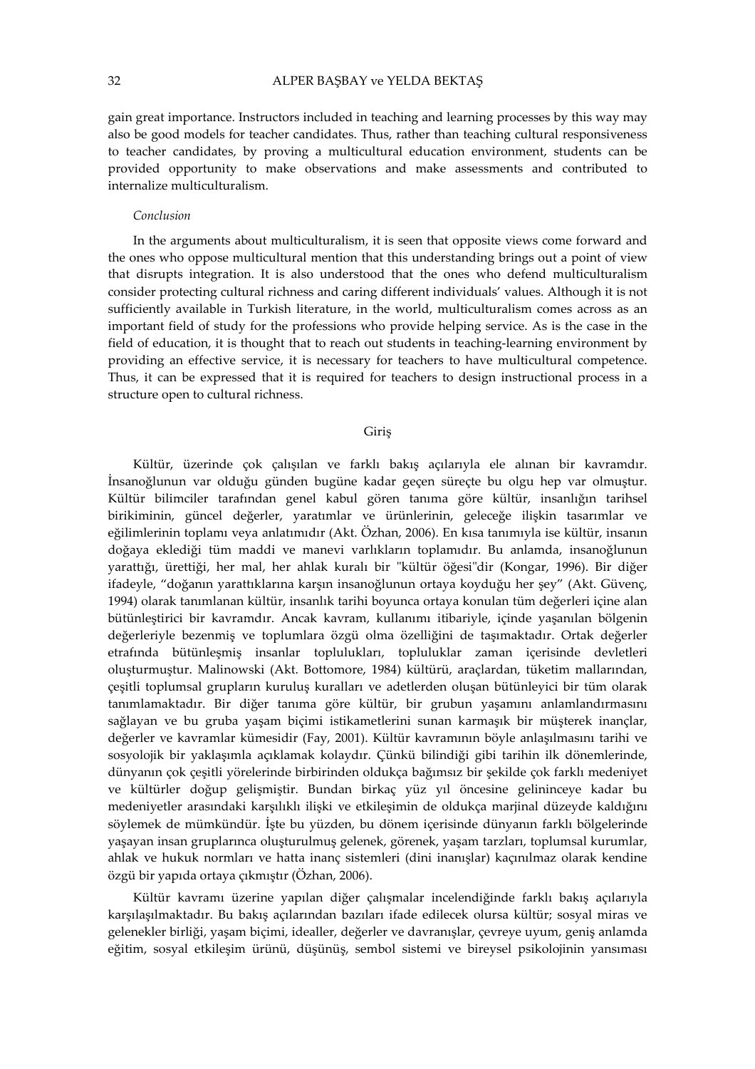gain great importance. Instructors included in teaching and learning processes by this way may also be good models for teacher candidates. Thus, rather than teaching cultural responsiveness to teacher candidates, by proving a multicultural education environment, students can be provided opportunity to make observations and make assessments and contributed to internalize multiculturalism.

# Conclusion

In the arguments about multiculturalism, it is seen that opposite views come forward and the ones who oppose multicultural mention that this understanding brings out a point of view that disrupts integration. It is also understood that the ones who defend multiculturalism consider protecting cultural richness and caring different individuals' values. Although it is not sufficiently available in Turkish literature, in the world, multiculturalism comes across as an important field of study for the professions who provide helping service. As is the case in the field of education, it is thought that to reach out students in teaching-learning environment by providing an effective service, it is necessary for teachers to have multicultural competence. Thus, it can be expressed that it is required for teachers to design instructional process in a structure open to cultural richness.

#### Giriş

Kültür, üzerinde çok çalışılan ve farklı bakış açılarıyla ele alınan bir kavramdır. İnsanoğlunun var olduğu günden bugüne kadar geçen süreçte bu olgu hep var olmuştur. Kültür bilimciler tarafından genel kabul gören tanıma göre kültür, insanlığın tarihsel birikiminin, güncel değerler, yaratımlar ve ürünlerinin, geleceğe ilişkin tasarımlar ve eğilimlerinin toplamı veya anlatımıdır (Akt. Özhan, 2006). En kısa tanımıyla ise kültür, insanın doğaya eklediği tüm maddi ve manevi varlıkların toplamıdır. Bu anlamda, insanoğlunun yarattığı, ürettiği, her mal, her ahlak kuralı bir "kültür öğesi"dir (Kongar, 1996). Bir diğer ifadeyle, "doğanın yarattıklarına karşın insanoğlunun ortaya koyduğu her şey" (Akt. Güvenç, 1994) olarak tanımlanan kültür, insanlık tarihi boyunca ortaya konulan tüm değerleri içine alan bütünleştirici bir kavramdır. Ancak kavram, kullanımı itibariyle, içinde yaşanılan bölgenin değerleriyle bezenmiş ve toplumlara özgü olma özelliğini de taşımaktadır. Ortak değerler etrafında bütünleşmiş insanlar toplulukları, topluluklar zaman içerisinde devletleri oluşturmuştur. Malinowski (Akt. Bottomore, 1984) kültürü, araçlardan, tüketim mallarından, çeşitli toplumsal grupların kuruluş kuralları ve adetlerden oluşan bütünleyici bir tüm olarak tanımlamaktadır. Bir diğer tanıma göre kültür, bir grubun yaşamını anlamlandırmasını sağlayan ve bu gruba yaşam biçimi istikametlerini sunan karmaşık bir müşterek inançlar, değerler ve kavramlar kümesidir (Fay, 2001). Kültür kavramının böyle anlaşılmasını tarihi ve sosyolojik bir yaklaşımla açıklamak kolaydır. Çünkü bilindiği gibi tarihin ilk dönemlerinde, dünyanın çok çeşitli yörelerinde birbirinden oldukça bağımsız bir şekilde çok farklı medeniyet ve kültürler doğup gelişmiştir. Bundan birkaç yüz yıl öncesine gelininceye kadar bu medeniyetler arasındaki karşılıklı ilişki ve etkileşimin de oldukça marjinal düzeyde kaldığını söylemek de mümkündür. İşte bu yüzden, bu dönem içerisinde dünyanın farklı bölgelerinde yaşayan insan gruplarınca oluşturulmuş gelenek, görenek, yaşam tarzları, toplumsal kurumlar, ahlak ve hukuk normları ve hatta inanç sistemleri (dini inanışlar) kaçınılmaz olarak kendine özgü bir yapıda ortaya çıkmıştır (Özhan, 2006).

Kültür kavramı üzerine yapılan diğer çalışmalar incelendiğinde farklı bakış açılarıyla karşılaşılmaktadır. Bu bakış açılarından bazıları ifade edilecek olursa kültür; sosyal miras ve gelenekler birliği, yaşam biçimi, idealler, değerler ve davranışlar, çevreye uyum, geniş anlamda eğitim, sosyal etkileşim ürünü, düşünüş, sembol sistemi ve bireysel psikolojinin yansıması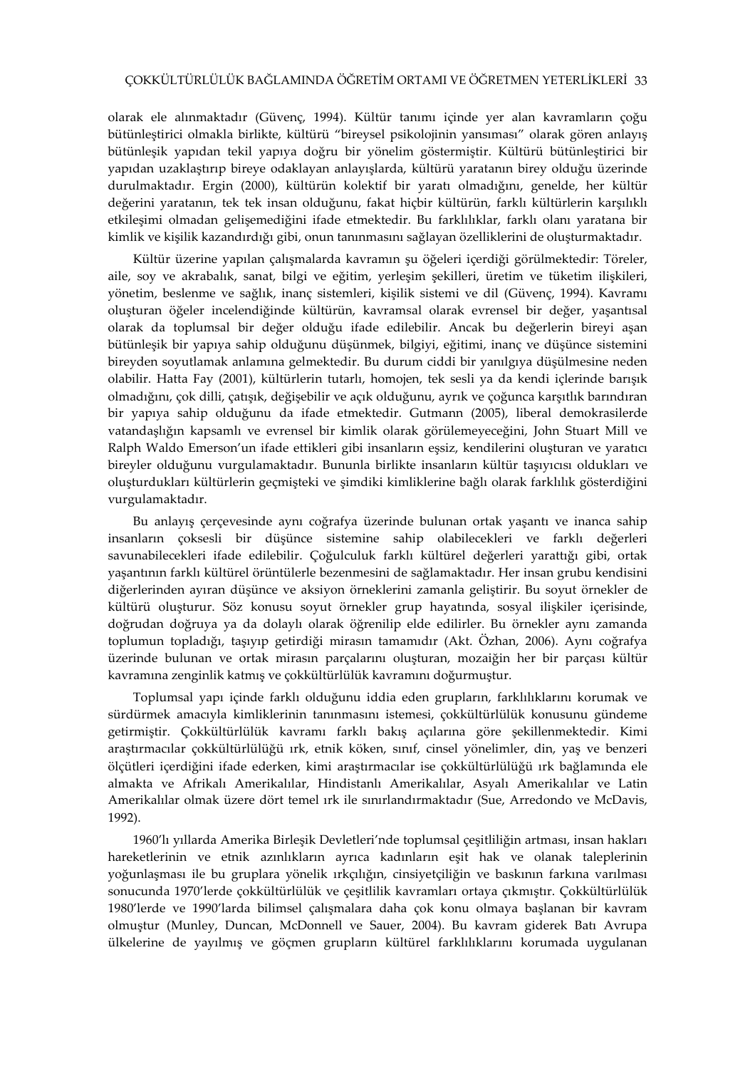olarak ele alınmaktadır (Güvenç, 1994). Kültür tanımı içinde yer alan kavramların çoğu bütünleştirici olmakla birlikte, kültürü "bireysel psikolojinin yansıması" olarak gören anlayış bütünleşik yapıdan tekil yapıya doğru bir yönelim göstermiştir. Kültürü bütünleştirici bir yapıdan uzaklaştırıp bireye odaklayan anlayışlarda, kültürü yaratanın birey olduğu üzerinde durulmaktadır. Ergin (2000), kültürün kolektif bir yaratı olmadığını, genelde, her kültür değerini yaratanın, tek tek insan olduğunu, fakat hiçbir kültürün, farklı kültürlerin karşılıklı etkileşimi olmadan gelişemediğini ifade etmektedir. Bu farklılıklar, farklı olanı yaratana bir kimlik ve kişilik kazandırdığı gibi, onun tanınmasını sağlayan özelliklerini de oluşturmaktadır.

Kültür üzerine yapılan çalışmalarda kavramın şu öğeleri içerdiği görülmektedir: Töreler, aile, soy ve akrabalık, sanat, bilgi ve eğitim, yerleşim şekilleri, üretim ve tüketim ilişkileri, yönetim, beslenme ve sağlık, inanç sistemleri, kişilik sistemi ve dil (Güvenç, 1994). Kavramı oluşturan öğeler incelendiğinde kültürün, kavramsal olarak evrensel bir değer, yaşantısal olarak da toplumsal bir değer olduğu ifade edilebilir. Ancak bu değerlerin bireyi aşan bütünleşik bir yapıya sahip olduğunu düşünmek, bilgiyi, eğitimi, inanç ve düşünce sistemini bireyden soyutlamak anlamına gelmektedir. Bu durum ciddi bir yanılgıya düşülmesine neden olabilir. Hatta Fay (2001), kültürlerin tutarlı, homojen, tek sesli ya da kendi içlerinde barışık olmadığını, çok dilli, çatışık, değişebilir ve açık olduğunu, ayrık ve çoğunca karşıtlık barındıran bir yapıya sahip olduğunu da ifade etmektedir. Gutmann (2005), liberal demokrasilerde vatandaşlığın kapsamlı ve evrensel bir kimlik olarak görülemeyeceğini, John Stuart Mill ve Ralph Waldo Emerson'un ifade ettikleri gibi insanların eşsiz, kendilerini oluşturan ve yaratıcı bireyler olduğunu vurgulamaktadır. Bununla birlikte insanların kültür taşıyıcısı oldukları ve oluşturdukları kültürlerin geçmişteki ve şimdiki kimliklerine bağlı olarak farklılık gösterdiğini vurgulamaktadır.

Bu anlayış çerçevesinde aynı coğrafya üzerinde bulunan ortak yaşantı ve inanca sahip insanların çoksesli bir düşünce sistemine sahip olabilecekleri ve farklı değerleri savunabilecekleri ifade edilebilir. Çoğulculuk farklı kültürel değerleri yarattığı gibi, ortak yaşantının farklı kültürel örüntülerle bezenmesini de sağlamaktadır. Her insan grubu kendisini diğerlerinden ayıran düşünce ve aksiyon örneklerini zamanla geliştirir. Bu soyut örnekler de kültürü oluşturur. Söz konusu soyut örnekler grup hayatında, sosyal ilişkiler içerisinde, doğrudan doğruya ya da dolaylı olarak öğrenilip elde edilirler. Bu örnekler aynı zamanda toplumun topladığı, taşıyıp getirdiği mirasın tamamıdır (Akt. Özhan, 2006). Aynı coğrafya üzerinde bulunan ve ortak mirasın parçalarını oluşturan, mozaiğin her bir parçası kültür kavramına zenginlik katmış ve çokkültürlülük kavramını doğurmuştur.

Toplumsal yapı içinde farklı olduğunu iddia eden grupların, farklılıklarını korumak ve sürdürmek amacıyla kimliklerinin tanınmasını istemesi, çokkültürlülük konusunu gündeme getirmiştir. Çokkültürlülük kavramı farklı bakış açılarına göre şekillenmektedir. Kimi araştırmacılar çokkültürlülüğü ırk, etnik köken, sınıf, cinsel yönelimler, din, yaş ve benzeri ölçütleri içerdiğini ifade ederken, kimi araştırmacılar ise çokkültürlülüğü ırk bağlamında ele almakta ve Afrikalı Amerikalılar, Hindistanlı Amerikalılar, Asyalı Amerikalılar ve Latin Amerikalılar olmak üzere dört temel ırk ile sınırlandırmaktadır (Sue, Arredondo ve McDavis, 1992).

1960'lı yıllarda Amerika Birleşik Devletleri'nde toplumsal çeşitliliğin artması, insan hakları hareketlerinin ve etnik azınlıkların ayrıca kadınların eşit hak ve olanak taleplerinin yoğunlaşması ile bu gruplara yönelik ırkçılığın, cinsiyetçiliğin ve baskının farkına varılması sonucunda 1970'lerde çokkültürlülük ve çeşitlilik kavramları ortaya çıkmıştır. Çokkültürlülük 1980'lerde ve 1990'larda bilimsel çalışmalara daha çok konu olmaya başlanan bir kavram olmuştur (Munley, Duncan, McDonnell ve Sauer, 2004). Bu kavram giderek Batı Avrupa ülkelerine de yayılmış ve göçmen grupların kültürel farklılıklarını korumada uygulanan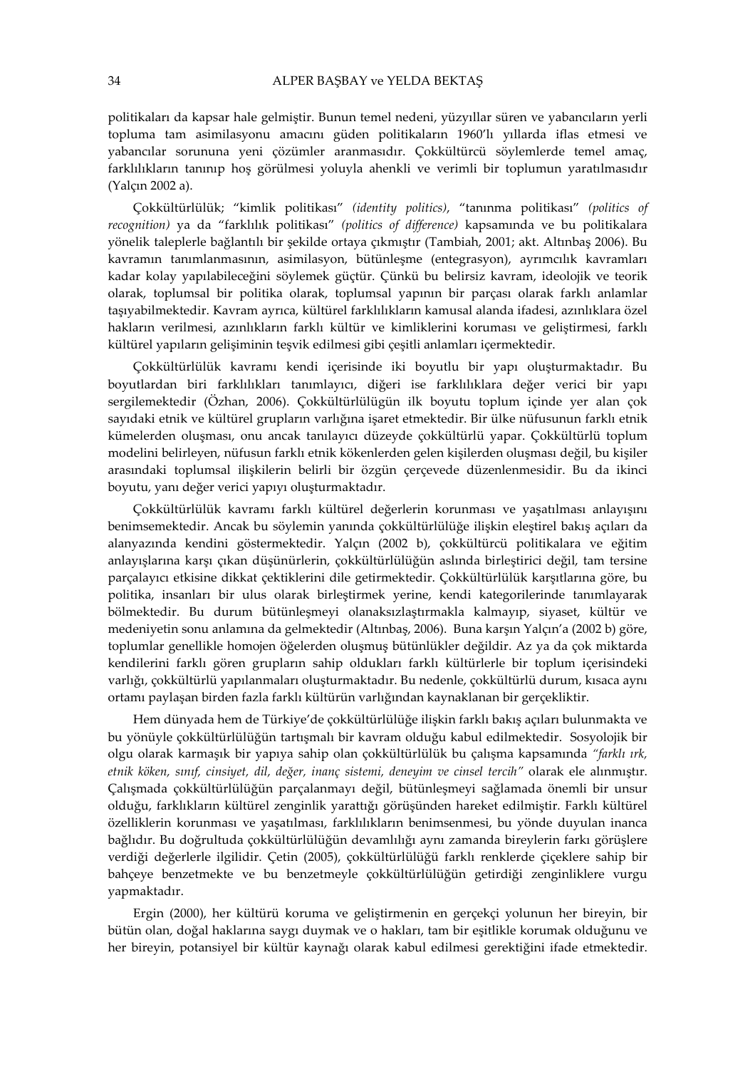politikaları da kapsar hale gelmiştir. Bunun temel nedeni, yüzyıllar süren ve yabancıların yerli topluma tam asimilasyonu amacını güden politikaların 1960'lı yıllarda iflas etmesi ve yabancılar sorununa yeni çözümler aranmasıdır. Çokkültürcü söylemlerde temel amaç, farklılıkların tanınıp hoş görülmesi yoluyla ahenkli ve verimli bir toplumun yaratılmasıdır (Yalçın 2002 a).

Çokkültürlülük; "kimlik politikası" (identity politics), "tanınma politikası" (politics of recognition) ya da "farklılık politikası" (politics of difference) kapsamında ve bu politikalara yönelik taleplerle bağlantılı bir şekilde ortaya çıkmıştır (Tambiah, 2001; akt. Altınbaş 2006). Bu kavramın tanımlanmasının, asimilasyon, bütünleşme (entegrasyon), ayrımcılık kavramları kadar kolay yapılabileceğini söylemek güçtür. Çünkü bu belirsiz kavram, ideolojik ve teorik olarak, toplumsal bir politika olarak, toplumsal yapının bir parçası olarak farklı anlamlar taşıyabilmektedir. Kavram ayrıca, kültürel farklılıkların kamusal alanda ifadesi, azınlıklara özel hakların verilmesi, azınlıkların farklı kültür ve kimliklerini koruması ve geliştirmesi, farklı kültürel yapıların gelişiminin teşvik edilmesi gibi çeşitli anlamları içermektedir.

Çokkültürlülük kavramı kendi içerisinde iki boyutlu bir yapı oluşturmaktadır. Bu boyutlardan biri farklılıkları tanımlayıcı, diğeri ise farklılıklara değer verici bir yapı sergilemektedir (Özhan, 2006). Çokkültürlülügün ilk boyutu toplum içinde yer alan çok sayıdaki etnik ve kültürel grupların varlığına işaret etmektedir. Bir ülke nüfusunun farklı etnik kümelerden oluşması, onu ancak tanılayıcı düzeyde çokkültürlü yapar. Çokkültürlü toplum modelini belirleyen, nüfusun farklı etnik kökenlerden gelen kişilerden oluşması değil, bu kişiler arasındaki toplumsal ilişkilerin belirli bir özgün çerçevede düzenlenmesidir. Bu da ikinci boyutu, yanı değer verici yapıyı oluşturmaktadır.

Çokkültürlülük kavramı farklı kültürel değerlerin korunması ve yaşatılması anlayışını benimsemektedir. Ancak bu söylemin yanında çokkültürlülüğe ilişkin eleştirel bakış açıları da alanyazında kendini göstermektedir. Yalçın (2002 b), çokkültürcü politikalara ve eğitim anlayışlarına karşı çıkan düşünürlerin, çokkültürlülüğün aslında birleştirici değil, tam tersine parçalayıcı etkisine dikkat çektiklerini dile getirmektedir. Çokkültürlülük karşıtlarına göre, bu politika, insanları bir ulus olarak birleştirmek yerine, kendi kategorilerinde tanımlayarak bölmektedir. Bu durum bütünleşmeyi olanaksızlaştırmakla kalmayıp, siyaset, kültür ve medeniyetin sonu anlamına da gelmektedir (Altınbaş, 2006). Buna karşın Yalçın'a (2002 b) göre, toplumlar genellikle homojen öğelerden oluşmuş bütünlükler değildir. Az ya da çok miktarda kendilerini farklı gören grupların sahip oldukları farklı kültürlerle bir toplum içerisindeki varlığı, çokkültürlü yapılanmaları oluşturmaktadır. Bu nedenle, çokkültürlü durum, kısaca aynı ortamı paylaşan birden fazla farklı kültürün varlığından kaynaklanan bir gerçekliktir.

Hem dünyada hem de Türkiye'de çokkültürlülüğe ilişkin farklı bakış açıları bulunmakta ve bu yönüyle çokkültürlülüğün tartışmalı bir kavram olduğu kabul edilmektedir. Sosyolojik bir olgu olarak karmaşık bir yapıya sahip olan çokkültürlülük bu çalışma kapsamında "farklı ırk, etnik köken, sınıf, cinsiyet, dil, değer, inanç sistemi, deneyim ve cinsel tercih" olarak ele alınmıştır. Çalışmada çokkültürlülüğün parçalanmayı değil, bütünleşmeyi sağlamada önemli bir unsur olduğu, farklıkların kültürel zenginlik yarattığı görüşünden hareket edilmiştir. Farklı kültürel özelliklerin korunması ve yaşatılması, farklılıkların benimsenmesi, bu yönde duyulan inanca bağlıdır. Bu doğrultuda çokkültürlülüğün devamlılığı aynı zamanda bireylerin farkı görüşlere verdiği değerlerle ilgilidir. Çetin (2005), çokkültürlülüğü farklı renklerde çiçeklere sahip bir bahçeye benzetmekte ve bu benzetmeyle çokkültürlülüğün getirdiği zenginliklere vurgu yapmaktadır.

Ergin (2000), her kültürü koruma ve geliştirmenin en gerçekçi yolunun her bireyin, bir bütün olan, doğal haklarına saygı duymak ve o hakları, tam bir eşitlikle korumak olduğunu ve her bireyin, potansiyel bir kültür kaynağı olarak kabul edilmesi gerektiğini ifade etmektedir.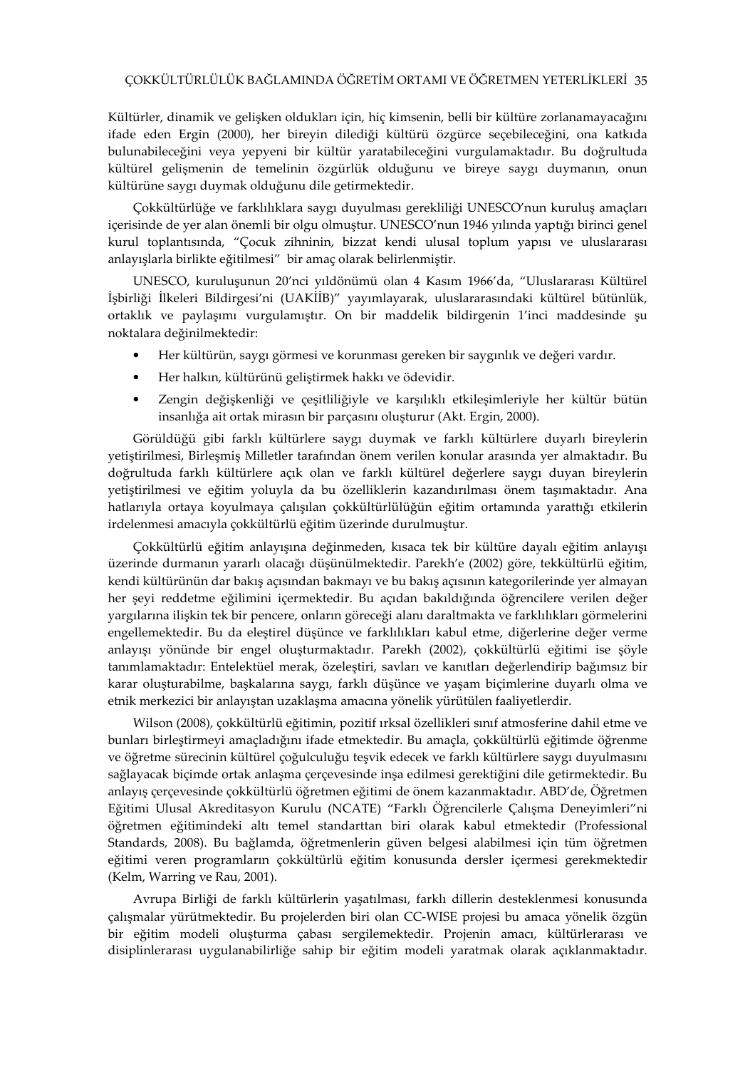Kültürler, dinamik ve gelişken oldukları için, hiç kimsenin, belli bir kültüre zorlanamayacağını ifade eden Ergin (2000), her bireyin dilediği kültürü özgürce seçebileceğini, ona katkıda bulunabileceğini veya yepyeni bir kültür yaratabileceğini vurgulamaktadır. Bu doğrultuda kültürel gelişmenin de temelinin özgürlük olduğunu ve bireye saygı duymanın, onun kültürüne saygı duymak olduğunu dile getirmektedir.

Çokkültürlüğe ve farklılıklara saygı duyulması gerekliliği UNESCO'nun kuruluş amaçları içerisinde de yer alan önemli bir olgu olmuştur. UNESCO'nun 1946 yılında yaptığı birinci genel kurul toplantısında, "Çocuk zihninin, bizzat kendi ulusal toplum yapısı ve uluslararası anlayışlarla birlikte eğitilmesi" bir amaç olarak belirlenmiştir.

UNESCO, kuruluşunun 20'nci yıldönümü olan 4 Kasım 1966'da, "Uluslararası Kültürel İşbirliği İlkeleri Bildirgesi'ni (UAKİİB)" yayımlayarak, uluslararasındaki kültürel bütünlük, ortaklık ve paylaşımı vurgulamıştır. On bir maddelik bildirgenin 1'inci maddesinde şu noktalara değinilmektedir:

- Her kültürün, saygı görmesi ve korunması gereken bir saygınlık ve değeri vardır.
- Her halkın, kültürünü geliştirmek hakkı ve ödevidir.
- Zengin değişkenliği ve çeşitliliğiyle ve karşılıklı etkileşimleriyle her kültür bütün insanlığa ait ortak mirasın bir parçasını oluşturur (Akt. Ergin, 2000).

Görüldüğü gibi farklı kültürlere saygı duymak ve farklı kültürlere duyarlı bireylerin yetiştirilmesi, Birleşmiş Milletler tarafından önem verilen konular arasında yer almaktadır. Bu doğrultuda farklı kültürlere açık olan ve farklı kültürel değerlere saygı duyan bireylerin yetiştirilmesi ve eğitim yoluyla da bu özelliklerin kazandırılması önem taşımaktadır. Ana hatlarıyla ortaya koyulmaya çalışılan çokkültürlülüğün eğitim ortamında yarattığı etkilerin irdelenmesi amacıyla çokkültürlü eğitim üzerinde durulmuştur.

Çokkültürlü eğitim anlayışına değinmeden, kısaca tek bir kültüre dayalı eğitim anlayışı üzerinde durmanın yararlı olacağı düşünülmektedir. Parekh'e (2002) göre, tekkültürlü eğitim, kendi kültürünün dar bakış açısından bakmayı ve bu bakış açısının kategorilerinde yer almayan her şeyi reddetme eğilimini içermektedir. Bu açıdan bakıldığında öğrencilere verilen değer yargılarına ilişkin tek bir pencere, onların göreceği alanı daraltmakta ve farklılıkları görmelerini engellemektedir. Bu da eleştirel düşünce ve farklılıkları kabul etme, diğerlerine değer verme anlayışı yönünde bir engel oluşturmaktadır. Parekh (2002), çokkültürlü eğitimi ise şöyle tanımlamaktadır: Entelektüel merak, özeleştiri, savları ve kanıtları değerlendirip bağımsız bir karar oluşturabilme, başkalarına saygı, farklı düşünce ve yaşam biçimlerine duyarlı olma ve etnik merkezici bir anlayıştan uzaklaşma amacına yönelik yürütülen faaliyetlerdir.

Wilson (2008), çokkültürlü eğitimin, pozitif ırksal özellikleri sınıf atmosferine dahil etme ve bunları birleştirmeyi amaçladığını ifade etmektedir. Bu amaçla, çokkültürlü eğitimde öğrenme ve öğretme sürecinin kültürel çoğulculuğu teşvik edecek ve farklı kültürlere saygı duyulmasını sağlayacak biçimde ortak anlaşma çerçevesinde inşa edilmesi gerektiğini dile getirmektedir. Bu anlayış çerçevesinde çokkültürlü öğretmen eğitimi de önem kazanmaktadır. ABD'de, Öğretmen Eğitimi Ulusal Akreditasyon Kurulu (NCATE) "Farklı Öğrencilerle Çalışma Deneyimleri"ni öğretmen eğitimindeki altı temel standarttan biri olarak kabul etmektedir (Professional Standards, 2008). Bu bağlamda, öğretmenlerin güven belgesi alabilmesi için tüm öğretmen eğitimi veren programların çokkültürlü eğitim konusunda dersler içermesi gerekmektedir (Kelm, Warring ve Rau, 2001).

Avrupa Birliği de farklı kültürlerin yaşatılması, farklı dillerin desteklenmesi konusunda çalışmalar yürütmektedir. Bu projelerden biri olan CC-WISE projesi bu amaca yönelik özgün bir eğitim modeli oluşturma çabası sergilemektedir. Projenin amacı, kültürlerarası ve disiplinlerarası uygulanabilirliğe sahip bir eğitim modeli yaratmak olarak açıklanmaktadır.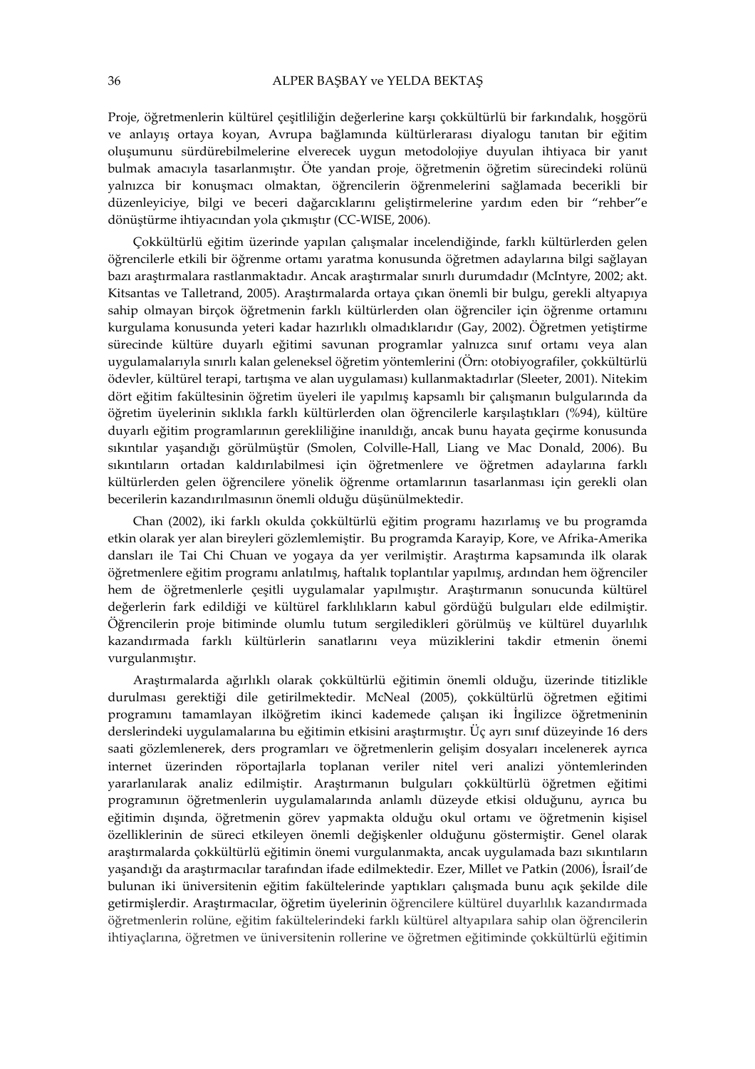Proje, öğretmenlerin kültürel çeşitliliğin değerlerine karşı çokkültürlü bir farkındalık, hoşgörü ve anlayış ortaya koyan, Avrupa bağlamında kültürlerarası diyalogu tanıtan bir eğitim oluşumunu sürdürebilmelerine elverecek uygun metodolojiye duyulan ihtiyaca bir yanıt bulmak amacıyla tasarlanmıştır. Öte yandan proje, öğretmenin öğretim sürecindeki rolünü yalnızca bir konuşmacı olmaktan, öğrencilerin öğrenmelerini sağlamada becerikli bir düzenleyiciye, bilgi ve beceri dağarcıklarını geliştirmelerine yardım eden bir "rehber"e dönüştürme ihtiyacından yola çıkmıştır (CC-WISE, 2006).

Çokkültürlü eğitim üzerinde yapılan çalışmalar incelendiğinde, farklı kültürlerden gelen öğrencilerle etkili bir öğrenme ortamı yaratma konusunda öğretmen adaylarına bilgi sağlayan bazı araştırmalara rastlanmaktadır. Ancak araştırmalar sınırlı durumdadır (McIntyre, 2002; akt. Kitsantas ve Talletrand, 2005). Araştırmalarda ortaya çıkan önemli bir bulgu, gerekli altyapıya sahip olmayan birçok öğretmenin farklı kültürlerden olan öğrenciler için öğrenme ortamını kurgulama konusunda yeteri kadar hazırlıklı olmadıklarıdır (Gay, 2002). Öğretmen yetiştirme sürecinde kültüre duyarlı eğitimi savunan programlar yalnızca sınıf ortamı veya alan uygulamalarıyla sınırlı kalan geleneksel öğretim yöntemlerini (Örn: otobiyografiler, çokkültürlü ödevler, kültürel terapi, tartışma ve alan uygulaması) kullanmaktadırlar (Sleeter, 2001). Nitekim dört eğitim fakültesinin öğretim üyeleri ile yapılmış kapsamlı bir çalışmanın bulgularında da öğretim üyelerinin sıklıkla farklı kültürlerden olan öğrencilerle karşılaştıkları (%94), kültüre duyarlı eğitim programlarının gerekliliğine inanıldığı, ancak bunu hayata geçirme konusunda sıkıntılar yaşandığı görülmüştür (Smolen, Colville-Hall, Liang ve Mac Donald, 2006). Bu sıkıntıların ortadan kaldırılabilmesi için öğretmenlere ve öğretmen adaylarına farklı kültürlerden gelen öğrencilere yönelik öğrenme ortamlarının tasarlanması için gerekli olan becerilerin kazandırılmasının önemli olduğu düşünülmektedir.

Chan (2002), iki farklı okulda çokkültürlü eğitim programı hazırlamış ve bu programda etkin olarak yer alan bireyleri gözlemlemiştir. Bu programda Karayip, Kore, ve Afrika-Amerika dansları ile Tai Chi Chuan ve yogaya da yer verilmiştir. Araştırma kapsamında ilk olarak öğretmenlere eğitim programı anlatılmış, haftalık toplantılar yapılmış, ardından hem öğrenciler hem de öğretmenlerle çeşitli uygulamalar yapılmıştır. Araştırmanın sonucunda kültürel değerlerin fark edildiği ve kültürel farklılıkların kabul gördüğü bulguları elde edilmiştir. Öğrencilerin proje bitiminde olumlu tutum sergiledikleri görülmüş ve kültürel duyarlılık kazandırmada farklı kültürlerin sanatlarını veya müziklerini takdir etmenin önemi vurgulanmıştır.

Araştırmalarda ağırlıklı olarak çokkültürlü eğitimin önemli olduğu, üzerinde titizlikle durulması gerektiği dile getirilmektedir. McNeal (2005), çokkültürlü öğretmen eğitimi programını tamamlayan ilköğretim ikinci kademede çalışan iki İngilizce öğretmeninin derslerindeki uygulamalarına bu eğitimin etkisini araştırmıştır. Üç ayrı sınıf düzeyinde 16 ders saati gözlemlenerek, ders programları ve öğretmenlerin gelişim dosyaları incelenerek ayrıca internet üzerinden röportajlarla toplanan veriler nitel veri analizi yöntemlerinden yararlanılarak analiz edilmiştir. Araştırmanın bulguları çokkültürlü öğretmen eğitimi programının öğretmenlerin uygulamalarında anlamlı düzeyde etkisi olduğunu, ayrıca bu eğitimin dışında, öğretmenin görev yapmakta olduğu okul ortamı ve öğretmenin kişisel özelliklerinin de süreci etkileyen önemli değişkenler olduğunu göstermiştir. Genel olarak araştırmalarda çokkültürlü eğitimin önemi vurgulanmakta, ancak uygulamada bazı sıkıntıların yaşandığı da araştırmacılar tarafından ifade edilmektedir. Ezer, Millet ve Patkin (2006), İsrail'de bulunan iki üniversitenin eğitim fakültelerinde yaptıkları çalışmada bunu açık şekilde dile getirmişlerdir. Araştırmacılar, öğretim üyelerinin öğrencilere kültürel duyarlılık kazandırmada öğretmenlerin rolüne, eğitim fakültelerindeki farklı kültürel altyapılara sahip olan öğrencilerin ihtiyaçlarına, öğretmen ve üniversitenin rollerine ve öğretmen eğitiminde çokkültürlü eğitimin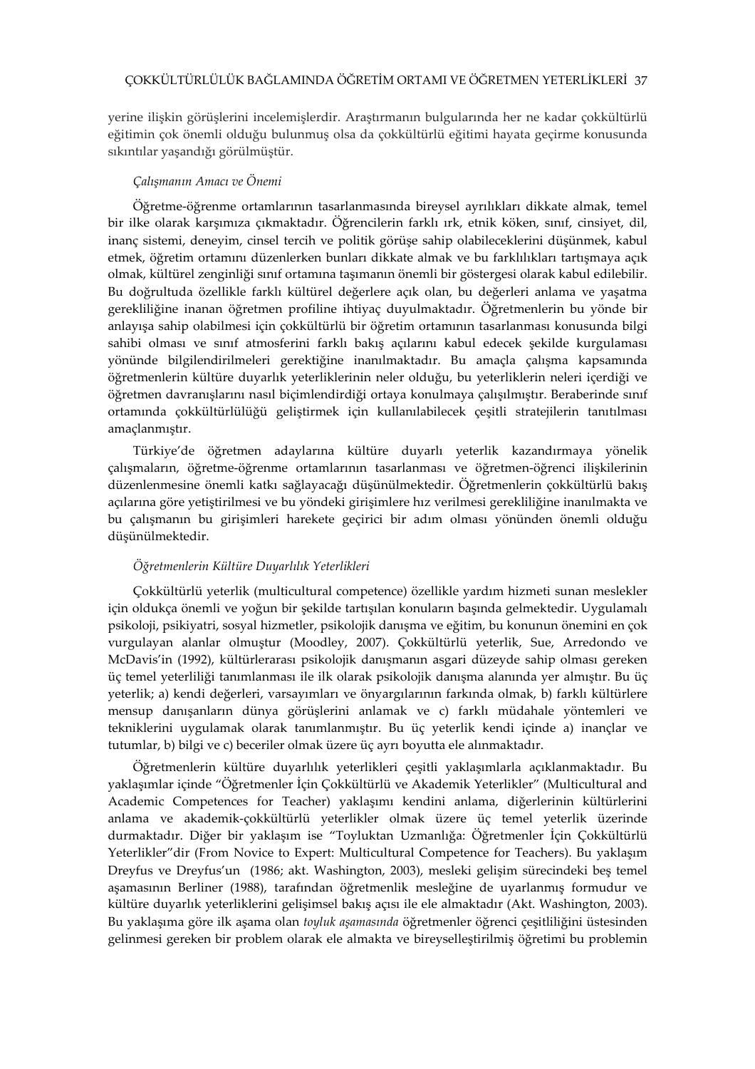yerine ilişkin görüşlerini incelemişlerdir. Araştırmanın bulgularında her ne kadar çokkültürlü eğitimin çok önemli olduğu bulunmuş olsa da çokkültürlü eğitimi hayata geçirme konusunda sıkıntılar yaşandığı görülmüştür.

### Çalışmanın Amacı ve Önemi

Öğretme-öğrenme ortamlarının tasarlanmasında bireysel ayrılıkları dikkate almak, temel bir ilke olarak karşımıza çıkmaktadır. Öğrencilerin farklı ırk, etnik köken, sınıf, cinsiyet, dil, inanç sistemi, deneyim, cinsel tercih ve politik görüşe sahip olabileceklerini düşünmek, kabul etmek, öğretim ortamını düzenlerken bunları dikkate almak ve bu farklılıkları tartışmaya açık olmak, kültürel zenginliği sınıf ortamına taşımanın önemli bir göstergesi olarak kabul edilebilir. Bu doğrultuda özellikle farklı kültürel değerlere açık olan, bu değerleri anlama ve yaşatma gerekliliğine inanan öğretmen profiline ihtiyaç duyulmaktadır. Öğretmenlerin bu yönde bir anlayışa sahip olabilmesi için çokkültürlü bir öğretim ortamının tasarlanması konusunda bilgi sahibi olması ve sınıf atmosferini farklı bakış açılarını kabul edecek şekilde kurgulaması yönünde bilgilendirilmeleri gerektiğine inanılmaktadır. Bu amaçla çalışma kapsamında öğretmenlerin kültüre duyarlık yeterliklerinin neler olduğu, bu yeterliklerin neleri içerdiği ve öğretmen davranışlarını nasıl biçimlendirdiği ortaya konulmaya çalışılmıştır. Beraberinde sınıf ortamında çokkültürlülüğü geliştirmek için kullanılabilecek çeşitli stratejilerin tanıtılması amaçlanmıştır.

Türkiye'de öğretmen adaylarına kültüre duyarlı yeterlik kazandırmaya yönelik çalışmaların, öğretme-öğrenme ortamlarının tasarlanması ve öğretmen-öğrenci ilişkilerinin düzenlenmesine önemli katkı sağlayacağı düşünülmektedir. Öğretmenlerin çokkültürlü bakış açılarına göre yetiştirilmesi ve bu yöndeki girişimlere hız verilmesi gerekliliğine inanılmakta ve bu çalışmanın bu girişimleri harekete geçirici bir adım olması yönünden önemli olduğu düşünülmektedir.

## Öğretmenlerin Kültüre Duyarlılık Yeterlikleri

Çokkültürlü yeterlik (multicultural competence) özellikle yardım hizmeti sunan meslekler için oldukça önemli ve yoğun bir şekilde tartışılan konuların başında gelmektedir. Uygulamalı psikoloji, psikiyatri, sosyal hizmetler, psikolojik danışma ve eğitim, bu konunun önemini en çok vurgulayan alanlar olmuştur (Moodley, 2007). Çokkültürlü yeterlik, Sue, Arredondo ve McDavis'in (1992), kültürlerarası psikolojik danışmanın asgari düzeyde sahip olması gereken üç temel yeterliliği tanımlanması ile ilk olarak psikolojik danışma alanında yer almıştır. Bu üç yeterlik; a) kendi değerleri, varsayımları ve önyargılarının farkında olmak, b) farklı kültürlere mensup danışanların dünya görüşlerini anlamak ve c) farklı müdahale yöntemleri ve tekniklerini uygulamak olarak tanımlanmıştır. Bu üç yeterlik kendi içinde a) inançlar ve tutumlar, b) bilgi ve c) beceriler olmak üzere üç ayrı boyutta ele alınmaktadır.

Öğretmenlerin kültüre duyarlılık yeterlikleri çeşitli yaklaşımlarla açıklanmaktadır. Bu yaklaşımlar içinde "Öğretmenler İçin Çokkültürlü ve Akademik Yeterlikler" (Multicultural and Academic Competences for Teacher) yaklaşımı kendini anlama, diğerlerinin kültürlerini anlama ve akademik-çokkültürlü yeterlikler olmak üzere üç temel yeterlik üzerinde durmaktadır. Diğer bir yaklaşım ise "Toyluktan Uzmanlığa: Öğretmenler İçin Çokkültürlü Yeterlikler"dir (From Novice to Expert: Multicultural Competence for Teachers). Bu yaklaşım Dreyfus ve Dreyfus'un (1986; akt. Washington, 2003), mesleki gelişim sürecindeki beş temel aşamasının Berliner (1988), tarafından öğretmenlik mesleğine de uyarlanmış formudur ve kültüre duyarlık yeterliklerini gelişimsel bakış açısı ile ele almaktadır (Akt. Washington, 2003). Bu yaklaşıma göre ilk aşama olan toyluk aşamasında öğretmenler öğrenci çeşitliliğini üstesinden gelinmesi gereken bir problem olarak ele almakta ve bireyselleştirilmiş öğretimi bu problemin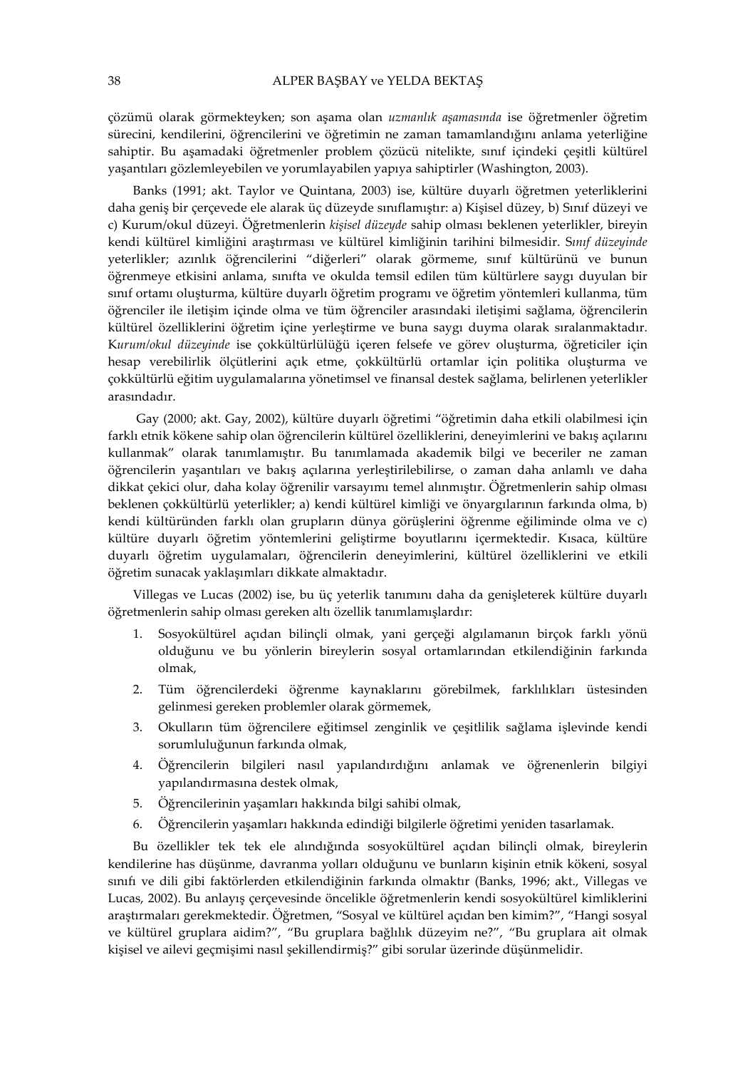çözümü olarak görmekteyken; son aşama olan uzmanlık aşamasında ise öğretmenler öğretim sürecini, kendilerini, öğrencilerini ve öğretimin ne zaman tamamlandığını anlama yeterliğine sahiptir. Bu aşamadaki öğretmenler problem çözücü nitelikte, sınıf içindeki çeşitli kültürel yaşantıları gözlemleyebilen ve yorumlayabilen yapıya sahiptirler (Washington, 2003).

Banks (1991; akt. Taylor ve Quintana, 2003) ise, kültüre duyarlı öğretmen yeterliklerini daha geniş bir çerçevede ele alarak üç düzeyde sınıflamıştır: a) Kişisel düzey, b) Sınıf düzeyi ve c) Kurum/okul düzeyi. Öğretmenlerin kişisel düzeyde sahip olması beklenen yeterlikler, bireyin kendi kültürel kimliğini araştırması ve kültürel kimliğinin tarihini bilmesidir. Sınıf düzeyinde yeterlikler; azınlık öğrencilerini "diğerleri" olarak görmeme, sınıf kültürünü ve bunun öğrenmeye etkisini anlama, sınıfta ve okulda temsil edilen tüm kültürlere saygı duyulan bir sınıf ortamı oluşturma, kültüre duyarlı öğretim programı ve öğretim yöntemleri kullanma, tüm öğrenciler ile iletişim içinde olma ve tüm öğrenciler arasındaki iletişimi sağlama, öğrencilerin kültürel özelliklerini öğretim içine yerleştirme ve buna saygı duyma olarak sıralanmaktadır. Kurum/okul düzeyinde ise çokkültürlülüğü içeren felsefe ve görev oluşturma, öğreticiler için hesap verebilirlik ölçütlerini açık etme, çokkültürlü ortamlar için politika oluşturma ve çokkültürlü eğitim uygulamalarına yönetimsel ve finansal destek sağlama, belirlenen yeterlikler arasındadır.

 Gay (2000; akt. Gay, 2002), kültüre duyarlı öğretimi "öğretimin daha etkili olabilmesi için farklı etnik kökene sahip olan öğrencilerin kültürel özelliklerini, deneyimlerini ve bakış açılarını kullanmak" olarak tanımlamıştır. Bu tanımlamada akademik bilgi ve beceriler ne zaman öğrencilerin yaşantıları ve bakış açılarına yerleştirilebilirse, o zaman daha anlamlı ve daha dikkat çekici olur, daha kolay öğrenilir varsayımı temel alınmıştır. Öğretmenlerin sahip olması beklenen çokkültürlü yeterlikler; a) kendi kültürel kimliği ve önyargılarının farkında olma, b) kendi kültüründen farklı olan grupların dünya görüşlerini öğrenme eğiliminde olma ve c) kültüre duyarlı öğretim yöntemlerini geliştirme boyutlarını içermektedir. Kısaca, kültüre duyarlı öğretim uygulamaları, öğrencilerin deneyimlerini, kültürel özelliklerini ve etkili öğretim sunacak yaklaşımları dikkate almaktadır.

Villegas ve Lucas (2002) ise, bu üç yeterlik tanımını daha da genişleterek kültüre duyarlı öğretmenlerin sahip olması gereken altı özellik tanımlamışlardır:

- 1. Sosyokültürel açıdan bilinçli olmak, yani gerçeği algılamanın birçok farklı yönü olduğunu ve bu yönlerin bireylerin sosyal ortamlarından etkilendiğinin farkında olmak,
- 2. Tüm öğrencilerdeki öğrenme kaynaklarını görebilmek, farklılıkları üstesinden gelinmesi gereken problemler olarak görmemek,
- 3. Okulların tüm öğrencilere eğitimsel zenginlik ve çeşitlilik sağlama işlevinde kendi sorumluluğunun farkında olmak,
- 4. Öğrencilerin bilgileri nasıl yapılandırdığını anlamak ve öğrenenlerin bilgiyi yapılandırmasına destek olmak,
- 5. Öğrencilerinin yaşamları hakkında bilgi sahibi olmak,
- 6. Öğrencilerin yaşamları hakkında edindiği bilgilerle öğretimi yeniden tasarlamak.

Bu özellikler tek tek ele alındığında sosyokültürel açıdan bilinçli olmak, bireylerin kendilerine has düşünme, davranma yolları olduğunu ve bunların kişinin etnik kökeni, sosyal sınıfı ve dili gibi faktörlerden etkilendiğinin farkında olmaktır (Banks, 1996; akt., Villegas ve Lucas, 2002). Bu anlayış çerçevesinde öncelikle öğretmenlerin kendi sosyokültürel kimliklerini araştırmaları gerekmektedir. Öğretmen, "Sosyal ve kültürel açıdan ben kimim?", "Hangi sosyal ve kültürel gruplara aidim?", "Bu gruplara bağlılık düzeyim ne?", "Bu gruplara ait olmak kişisel ve ailevi geçmişimi nasıl şekillendirmiş?" gibi sorular üzerinde düşünmelidir.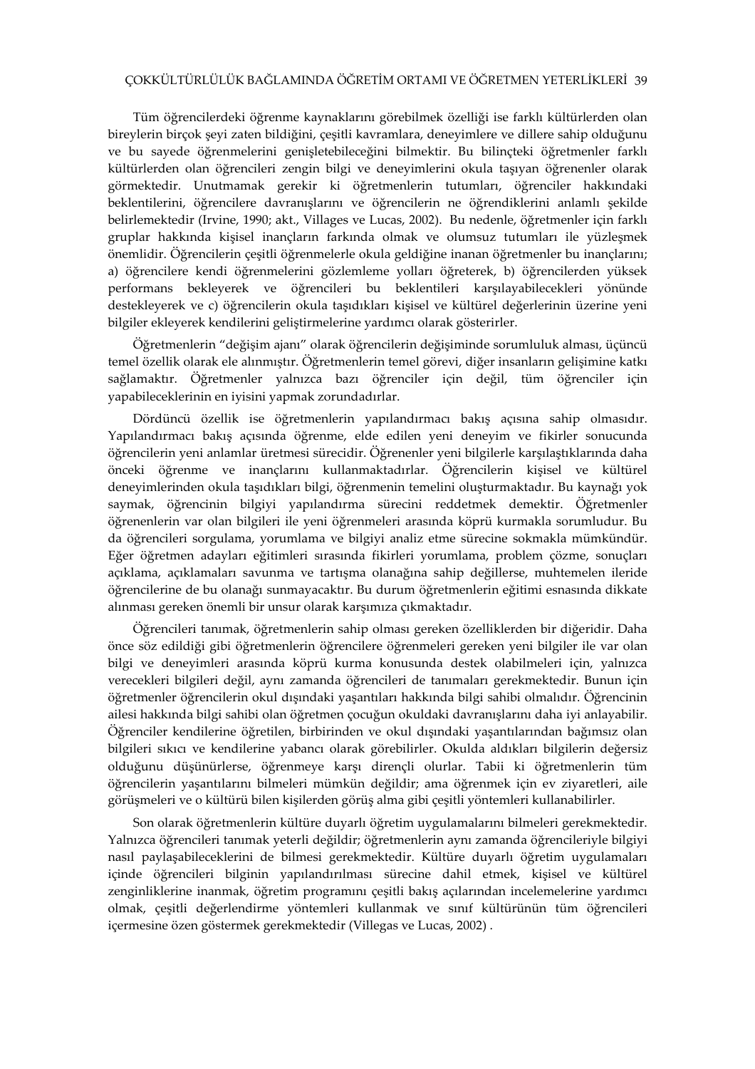# ÇOKKÜLTÜRLÜLÜK BAĞLAMINDA ÖĞRETİM ORTAMI VE ÖĞRETMEN YETERLİKLERİ 39

Tüm öğrencilerdeki öğrenme kaynaklarını görebilmek özelliği ise farklı kültürlerden olan bireylerin birçok şeyi zaten bildiğini, çeşitli kavramlara, deneyimlere ve dillere sahip olduğunu ve bu sayede öğrenmelerini genişletebileceğini bilmektir. Bu bilinçteki öğretmenler farklı kültürlerden olan öğrencileri zengin bilgi ve deneyimlerini okula taşıyan öğrenenler olarak görmektedir. Unutmamak gerekir ki öğretmenlerin tutumları, öğrenciler hakkındaki beklentilerini, öğrencilere davranışlarını ve öğrencilerin ne öğrendiklerini anlamlı şekilde belirlemektedir (Irvine, 1990; akt., Villages ve Lucas, 2002). Bu nedenle, öğretmenler için farklı gruplar hakkında kişisel inançların farkında olmak ve olumsuz tutumları ile yüzleşmek önemlidir. Öğrencilerin çeşitli öğrenmelerle okula geldiğine inanan öğretmenler bu inançlarını; a) öğrencilere kendi öğrenmelerini gözlemleme yolları öğreterek, b) öğrencilerden yüksek performans bekleyerek ve öğrencileri bu beklentileri karşılayabilecekleri yönünde destekleyerek ve c) öğrencilerin okula taşıdıkları kişisel ve kültürel değerlerinin üzerine yeni bilgiler ekleyerek kendilerini geliştirmelerine yardımcı olarak gösterirler.

Öğretmenlerin "değişim ajanı" olarak öğrencilerin değişiminde sorumluluk alması, üçüncü temel özellik olarak ele alınmıştır. Öğretmenlerin temel görevi, diğer insanların gelişimine katkı sağlamaktır. Öğretmenler yalnızca bazı öğrenciler için değil, tüm öğrenciler için yapabileceklerinin en iyisini yapmak zorundadırlar.

Dördüncü özellik ise öğretmenlerin yapılandırmacı bakış açısına sahip olmasıdır. Yapılandırmacı bakış açısında öğrenme, elde edilen yeni deneyim ve fikirler sonucunda öğrencilerin yeni anlamlar üretmesi sürecidir. Öğrenenler yeni bilgilerle karşılaştıklarında daha önceki öğrenme ve inançlarını kullanmaktadırlar. Öğrencilerin kişisel ve kültürel deneyimlerinden okula taşıdıkları bilgi, öğrenmenin temelini oluşturmaktadır. Bu kaynağı yok saymak, öğrencinin bilgiyi yapılandırma sürecini reddetmek demektir. Öğretmenler öğrenenlerin var olan bilgileri ile yeni öğrenmeleri arasında köprü kurmakla sorumludur. Bu da öğrencileri sorgulama, yorumlama ve bilgiyi analiz etme sürecine sokmakla mümkündür. Eğer öğretmen adayları eğitimleri sırasında fikirleri yorumlama, problem çözme, sonuçları açıklama, açıklamaları savunma ve tartışma olanağına sahip değillerse, muhtemelen ileride öğrencilerine de bu olanağı sunmayacaktır. Bu durum öğretmenlerin eğitimi esnasında dikkate alınması gereken önemli bir unsur olarak karşımıza çıkmaktadır.

Öğrencileri tanımak, öğretmenlerin sahip olması gereken özelliklerden bir diğeridir. Daha önce söz edildiği gibi öğretmenlerin öğrencilere öğrenmeleri gereken yeni bilgiler ile var olan bilgi ve deneyimleri arasında köprü kurma konusunda destek olabilmeleri için, yalnızca verecekleri bilgileri değil, aynı zamanda öğrencileri de tanımaları gerekmektedir. Bunun için öğretmenler öğrencilerin okul dışındaki yaşantıları hakkında bilgi sahibi olmalıdır. Öğrencinin ailesi hakkında bilgi sahibi olan öğretmen çocuğun okuldaki davranışlarını daha iyi anlayabilir. Öğrenciler kendilerine öğretilen, birbirinden ve okul dışındaki yaşantılarından bağımsız olan bilgileri sıkıcı ve kendilerine yabancı olarak görebilirler. Okulda aldıkları bilgilerin değersiz olduğunu düşünürlerse, öğrenmeye karşı dirençli olurlar. Tabii ki öğretmenlerin tüm öğrencilerin yaşantılarını bilmeleri mümkün değildir; ama öğrenmek için ev ziyaretleri, aile görüşmeleri ve o kültürü bilen kişilerden görüş alma gibi çeşitli yöntemleri kullanabilirler.

Son olarak öğretmenlerin kültüre duyarlı öğretim uygulamalarını bilmeleri gerekmektedir. Yalnızca öğrencileri tanımak yeterli değildir; öğretmenlerin aynı zamanda öğrencileriyle bilgiyi nasıl paylaşabileceklerini de bilmesi gerekmektedir. Kültüre duyarlı öğretim uygulamaları içinde öğrencileri bilginin yapılandırılması sürecine dahil etmek, kişisel ve kültürel zenginliklerine inanmak, öğretim programını çeşitli bakış açılarından incelemelerine yardımcı olmak, çeşitli değerlendirme yöntemleri kullanmak ve sınıf kültürünün tüm öğrencileri içermesine özen göstermek gerekmektedir (Villegas ve Lucas, 2002) .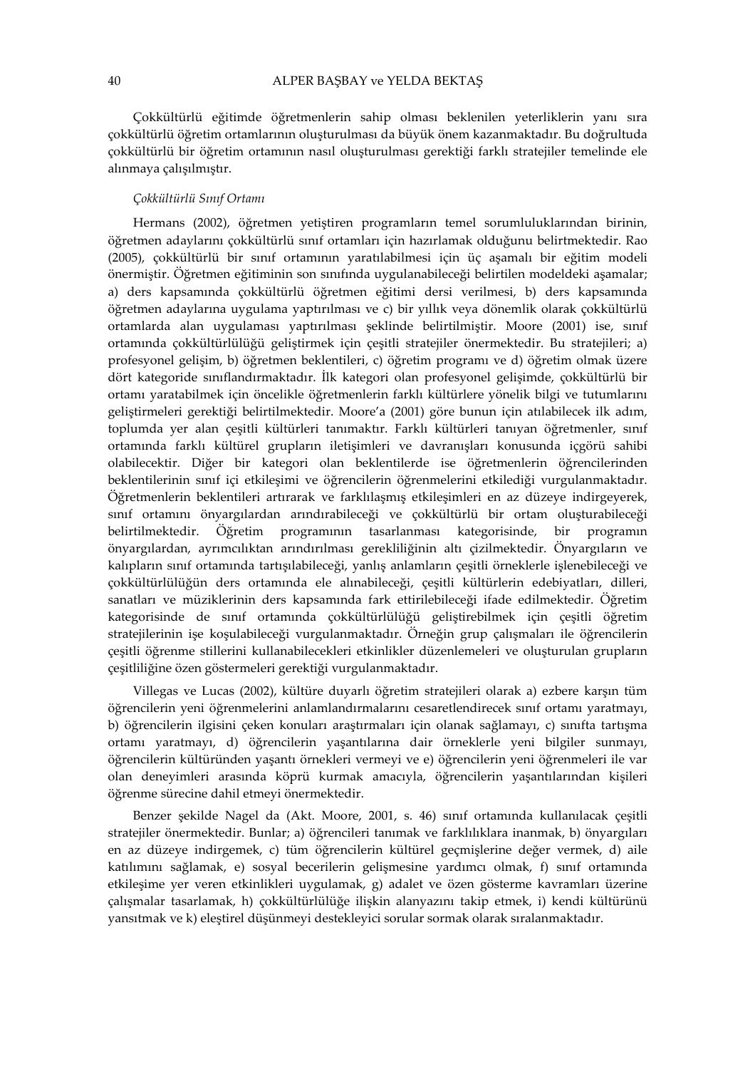Çokkültürlü eğitimde öğretmenlerin sahip olması beklenilen yeterliklerin yanı sıra çokkültürlü öğretim ortamlarının oluşturulması da büyük önem kazanmaktadır. Bu doğrultuda çokkültürlü bir öğretim ortamının nasıl oluşturulması gerektiği farklı stratejiler temelinde ele alınmaya çalışılmıştır.

#### Çokkültürlü Sınıf Ortamı

Hermans (2002), öğretmen yetiştiren programların temel sorumluluklarından birinin, öğretmen adaylarını çokkültürlü sınıf ortamları için hazırlamak olduğunu belirtmektedir. Rao (2005), çokkültürlü bir sınıf ortamının yaratılabilmesi için üç aşamalı bir eğitim modeli önermiştir. Öğretmen eğitiminin son sınıfında uygulanabileceği belirtilen modeldeki aşamalar; a) ders kapsamında çokkültürlü öğretmen eğitimi dersi verilmesi, b) ders kapsamında öğretmen adaylarına uygulama yaptırılması ve c) bir yıllık veya dönemlik olarak çokkültürlü ortamlarda alan uygulaması yaptırılması şeklinde belirtilmiştir. Moore (2001) ise, sınıf ortamında çokkültürlülüğü geliştirmek için çeşitli stratejiler önermektedir. Bu stratejileri; a) profesyonel gelişim, b) öğretmen beklentileri, c) öğretim programı ve d) öğretim olmak üzere dört kategoride sınıflandırmaktadır. İlk kategori olan profesyonel gelişimde, çokkültürlü bir ortamı yaratabilmek için öncelikle öğretmenlerin farklı kültürlere yönelik bilgi ve tutumlarını geliştirmeleri gerektiği belirtilmektedir. Moore'a (2001) göre bunun için atılabilecek ilk adım, toplumda yer alan çeşitli kültürleri tanımaktır. Farklı kültürleri tanıyan öğretmenler, sınıf ortamında farklı kültürel grupların iletişimleri ve davranışları konusunda içgörü sahibi olabilecektir. Diğer bir kategori olan beklentilerde ise öğretmenlerin öğrencilerinden beklentilerinin sınıf içi etkileşimi ve öğrencilerin öğrenmelerini etkilediği vurgulanmaktadır. Öğretmenlerin beklentileri artırarak ve farklılaşmış etkileşimleri en az düzeye indirgeyerek, sınıf ortamını önyargılardan arındırabileceği ve çokkültürlü bir ortam oluşturabileceği belirtilmektedir. Öğretim programının tasarlanması kategorisinde, bir programın önyargılardan, ayrımcılıktan arındırılması gerekliliğinin altı çizilmektedir. Önyargıların ve kalıpların sınıf ortamında tartışılabileceği, yanlış anlamların çeşitli örneklerle işlenebileceği ve çokkültürlülüğün ders ortamında ele alınabileceği, çeşitli kültürlerin edebiyatları, dilleri, sanatları ve müziklerinin ders kapsamında fark ettirilebileceği ifade edilmektedir. Öğretim kategorisinde de sınıf ortamında çokkültürlülüğü geliştirebilmek için çeşitli öğretim stratejilerinin işe koşulabileceği vurgulanmaktadır. Örneğin grup çalışmaları ile öğrencilerin çeşitli öğrenme stillerini kullanabilecekleri etkinlikler düzenlemeleri ve oluşturulan grupların çeşitliliğine özen göstermeleri gerektiği vurgulanmaktadır.

Villegas ve Lucas (2002), kültüre duyarlı öğretim stratejileri olarak a) ezbere karşın tüm öğrencilerin yeni öğrenmelerini anlamlandırmalarını cesaretlendirecek sınıf ortamı yaratmayı, b) öğrencilerin ilgisini çeken konuları araştırmaları için olanak sağlamayı, c) sınıfta tartışma ortamı yaratmayı, d) öğrencilerin yaşantılarına dair örneklerle yeni bilgiler sunmayı, öğrencilerin kültüründen yaşantı örnekleri vermeyi ve e) öğrencilerin yeni öğrenmeleri ile var olan deneyimleri arasında köprü kurmak amacıyla, öğrencilerin yaşantılarından kişileri öğrenme sürecine dahil etmeyi önermektedir.

Benzer şekilde Nagel da (Akt. Moore, 2001, s. 46) sınıf ortamında kullanılacak çeşitli stratejiler önermektedir. Bunlar; a) öğrencileri tanımak ve farklılıklara inanmak, b) önyargıları en az düzeye indirgemek, c) tüm öğrencilerin kültürel geçmişlerine değer vermek, d) aile katılımını sağlamak, e) sosyal becerilerin gelişmesine yardımcı olmak, f) sınıf ortamında etkileşime yer veren etkinlikleri uygulamak, g) adalet ve özen gösterme kavramları üzerine çalışmalar tasarlamak, h) çokkültürlülüğe ilişkin alanyazını takip etmek, i) kendi kültürünü yansıtmak ve k) eleştirel düşünmeyi destekleyici sorular sormak olarak sıralanmaktadır.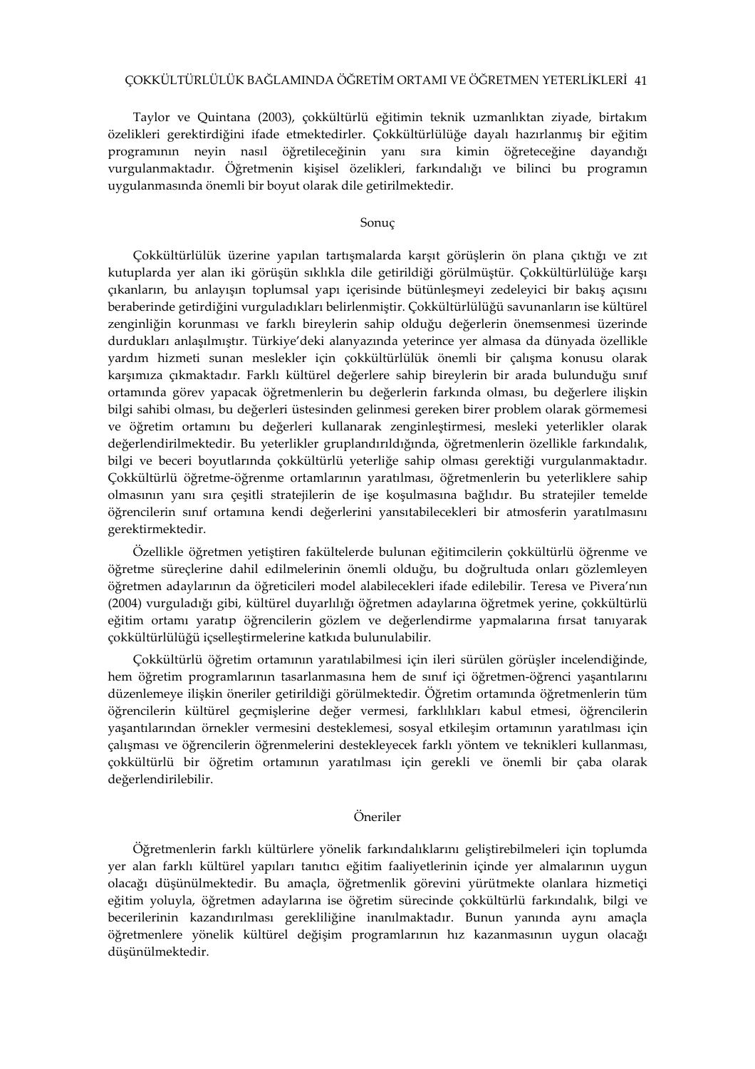# ÇOKKÜLTÜRLÜLÜK BAĞLAMINDA ÖĞRETİM ORTAMI VE ÖĞRETMEN YETERLİKLERİ 41

Taylor ve Quintana (2003), çokkültürlü eğitimin teknik uzmanlıktan ziyade, birtakım özelikleri gerektirdiğini ifade etmektedirler. Çokkültürlülüğe dayalı hazırlanmış bir eğitim programının neyin nasıl öğretileceğinin yanı sıra kimin öğreteceğine dayandığı vurgulanmaktadır. Öğretmenin kişisel özelikleri, farkındalığı ve bilinci bu programın uygulanmasında önemli bir boyut olarak dile getirilmektedir.

## Sonuç

Çokkültürlülük üzerine yapılan tartışmalarda karşıt görüşlerin ön plana çıktığı ve zıt kutuplarda yer alan iki görüşün sıklıkla dile getirildiği görülmüştür. Çokkültürlülüğe karşı çıkanların, bu anlayışın toplumsal yapı içerisinde bütünleşmeyi zedeleyici bir bakış açısını beraberinde getirdiğini vurguladıkları belirlenmiştir. Çokkültürlülüğü savunanların ise kültürel zenginliğin korunması ve farklı bireylerin sahip olduğu değerlerin önemsenmesi üzerinde durdukları anlaşılmıştır. Türkiye'deki alanyazında yeterince yer almasa da dünyada özellikle yardım hizmeti sunan meslekler için çokkültürlülük önemli bir çalışma konusu olarak karşımıza çıkmaktadır. Farklı kültürel değerlere sahip bireylerin bir arada bulunduğu sınıf ortamında görev yapacak öğretmenlerin bu değerlerin farkında olması, bu değerlere ilişkin bilgi sahibi olması, bu değerleri üstesinden gelinmesi gereken birer problem olarak görmemesi ve öğretim ortamını bu değerleri kullanarak zenginleştirmesi, mesleki yeterlikler olarak değerlendirilmektedir. Bu yeterlikler gruplandırıldığında, öğretmenlerin özellikle farkındalık, bilgi ve beceri boyutlarında çokkültürlü yeterliğe sahip olması gerektiği vurgulanmaktadır. Çokkültürlü öğretme-öğrenme ortamlarının yaratılması, öğretmenlerin bu yeterliklere sahip olmasının yanı sıra çeşitli stratejilerin de işe koşulmasına bağlıdır. Bu stratejiler temelde öğrencilerin sınıf ortamına kendi değerlerini yansıtabilecekleri bir atmosferin yaratılmasını gerektirmektedir.

Özellikle öğretmen yetiştiren fakültelerde bulunan eğitimcilerin çokkültürlü öğrenme ve öğretme süreçlerine dahil edilmelerinin önemli olduğu, bu doğrultuda onları gözlemleyen öğretmen adaylarının da öğreticileri model alabilecekleri ifade edilebilir. Teresa ve Pivera'nın (2004) vurguladığı gibi, kültürel duyarlılığı öğretmen adaylarına öğretmek yerine, çokkültürlü eğitim ortamı yaratıp öğrencilerin gözlem ve değerlendirme yapmalarına fırsat tanıyarak çokkültürlülüğü içselleştirmelerine katkıda bulunulabilir.

Çokkültürlü öğretim ortamının yaratılabilmesi için ileri sürülen görüşler incelendiğinde, hem öğretim programlarının tasarlanmasına hem de sınıf içi öğretmen-öğrenci yaşantılarını düzenlemeye ilişkin öneriler getirildiği görülmektedir. Öğretim ortamında öğretmenlerin tüm öğrencilerin kültürel geçmişlerine değer vermesi, farklılıkları kabul etmesi, öğrencilerin yaşantılarından örnekler vermesini desteklemesi, sosyal etkileşim ortamının yaratılması için çalışması ve öğrencilerin öğrenmelerini destekleyecek farklı yöntem ve teknikleri kullanması, çokkültürlü bir öğretim ortamının yaratılması için gerekli ve önemli bir çaba olarak değerlendirilebilir.

## Öneriler

Öğretmenlerin farklı kültürlere yönelik farkındalıklarını geliştirebilmeleri için toplumda yer alan farklı kültürel yapıları tanıtıcı eğitim faaliyetlerinin içinde yer almalarının uygun olacağı düşünülmektedir. Bu amaçla, öğretmenlik görevini yürütmekte olanlara hizmetiçi eğitim yoluyla, öğretmen adaylarına ise öğretim sürecinde çokkültürlü farkındalık, bilgi ve becerilerinin kazandırılması gerekliliğine inanılmaktadır. Bunun yanında aynı amaçla öğretmenlere yönelik kültürel değişim programlarının hız kazanmasının uygun olacağı düşünülmektedir.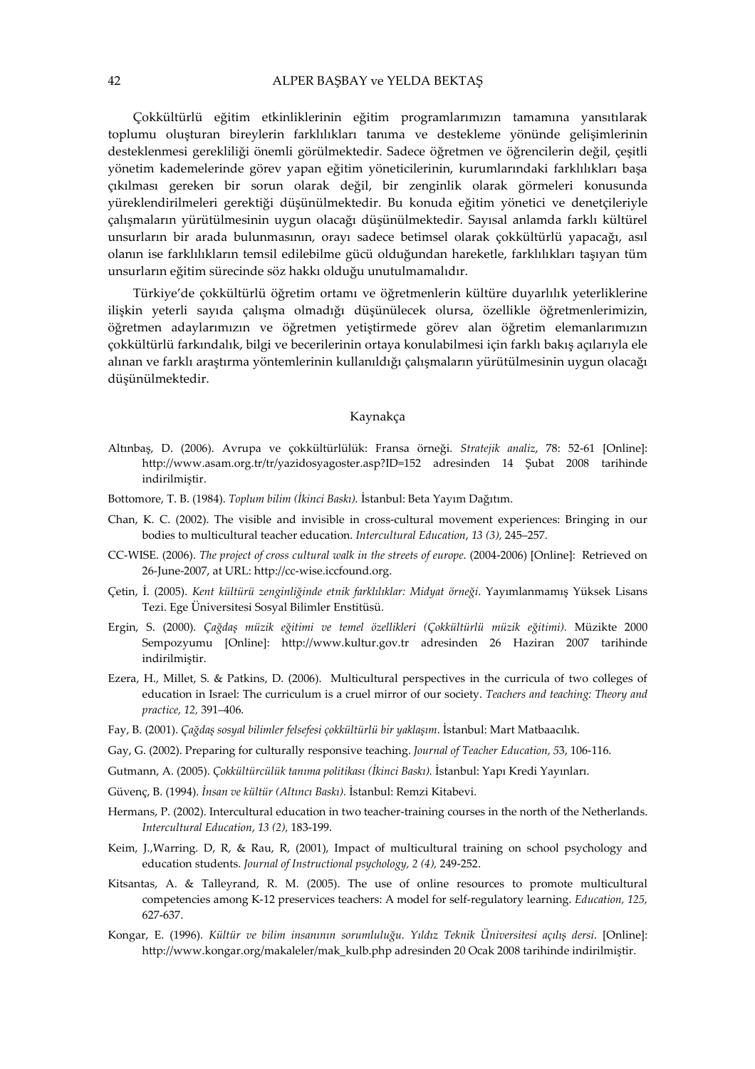Çokkültürlü eğitim etkinliklerinin eğitim programlarımızın tamamına yansıtılarak toplumu oluşturan bireylerin farklılıkları tanıma ve destekleme yönünde gelişimlerinin desteklenmesi gerekliliği önemli görülmektedir. Sadece öğretmen ve öğrencilerin değil, çeşitli yönetim kademelerinde görev yapan eğitim yöneticilerinin, kurumlarındaki farklılıkları başa çıkılması gereken bir sorun olarak değil, bir zenginlik olarak görmeleri konusunda yüreklendirilmeleri gerektiği düşünülmektedir. Bu konuda eğitim yönetici ve denetçileriyle çalışmaların yürütülmesinin uygun olacağı düşünülmektedir. Sayısal anlamda farklı kültürel unsurların bir arada bulunmasının, orayı sadece betimsel olarak çokkültürlü yapacağı, asıl olanın ise farklılıkların temsil edilebilme gücü olduğundan hareketle, farklılıkları taşıyan tüm unsurların eğitim sürecinde söz hakkı olduğu unutulmamalıdır.

Türkiye'de çokkültürlü öğretim ortamı ve öğretmenlerin kültüre duyarlılık yeterliklerine ilişkin yeterli sayıda çalışma olmadığı düşünülecek olursa, özellikle öğretmenlerimizin, öğretmen adaylarımızın ve öğretmen yetiştirmede görev alan öğretim elemanlarımızın çokkültürlü farkındalık, bilgi ve becerilerinin ortaya konulabilmesi için farklı bakış açılarıyla ele alınan ve farklı araştırma yöntemlerinin kullanıldığı çalışmaların yürütülmesinin uygun olacağı düşünülmektedir.

### Kaynakça

- Altınbaş, D. (2006). Avrupa ve çokkültürlülük: Fransa örneği. Stratejik analiz, 78: 52-61 [Online]: http://www.asam.org.tr/tr/yazidosyagoster.asp?ID=152 adresinden 14 Şubat 2008 tarihinde indirilmiştir.
- Bottomore, T. B. (1984). Toplum bilim (İkinci Baskı). İstanbul: Beta Yayım Dağıtım.
- Chan, K. C. (2002). The visible and invisible in cross-cultural movement experiences: Bringing in our bodies to multicultural teacher education. Intercultural Education, 13 (3), 245–257.
- CC-WISE. (2006). The project of cross cultural walk in the streets of europe. (2004-2006) [Online]: Retrieved on 26-June-2007, at URL: http://cc-wise.iccfound.org.
- Çetin, İ. (2005). Kent kültürü zenginliğinde etnik farklılıklar: Midyat örneği. Yayımlanmamış Yüksek Lisans Tezi. Ege Üniversitesi Sosyal Bilimler Enstitüsü.
- Ergin, S. (2000). Çağdaş müzik eğitimi ve temel özellikleri (Çokkültürlü müzik eğitimi). Müzikte 2000 Sempozyumu [Online]: http://www.kultur.gov.tr adresinden 26 Haziran 2007 tarihinde indirilmiştir.
- Ezera, H., Millet, S. & Patkins, D. (2006). Multicultural perspectives in the curricula of two colleges of education in Israel: The curriculum is a cruel mirror of our society. Teachers and teaching: Theory and practice, 12, 391–406.
- Fay, B. (2001). Çağdaş sosyal bilimler felsefesi çokkültürlü bir yaklaşım. İstanbul: Mart Matbaacılık.
- Gay, G. (2002). Preparing for culturally responsive teaching. Journal of Teacher Education, 53, 106-116.
- Gutmann, A. (2005). Çokkültürcülük tanıma politikası (İkinci Baskı). İstanbul: Yapı Kredi Yayınları.
- Güvenç, B. (1994). İnsan ve kültür (Altıncı Baskı). İstanbul: Remzi Kitabevi.
- Hermans, P. (2002). Intercultural education in two teacher-training courses in the north of the Netherlands. Intercultural Education, 13 (2), 183-199.
- Keim, J.,Warring. D, R, & Rau, R, (2001), Impact of multicultural training on school psychology and education students. Journal of Instructional psychology, 2 (4), 249-252.
- Kitsantas, A. & Talleyrand, R. M. (2005). The use of online resources to promote multicultural competencies among K-12 preservices teachers: A model for self-regulatory learning. Education, 125, 627-637.
- Kongar, E. (1996). Kültür ve bilim insanının sorumluluğu. Yıldız Teknik Üniversitesi açılış dersi. [Online]: http://www.kongar.org/makaleler/mak\_kulb.php adresinden 20 Ocak 2008 tarihinde indirilmiştir.